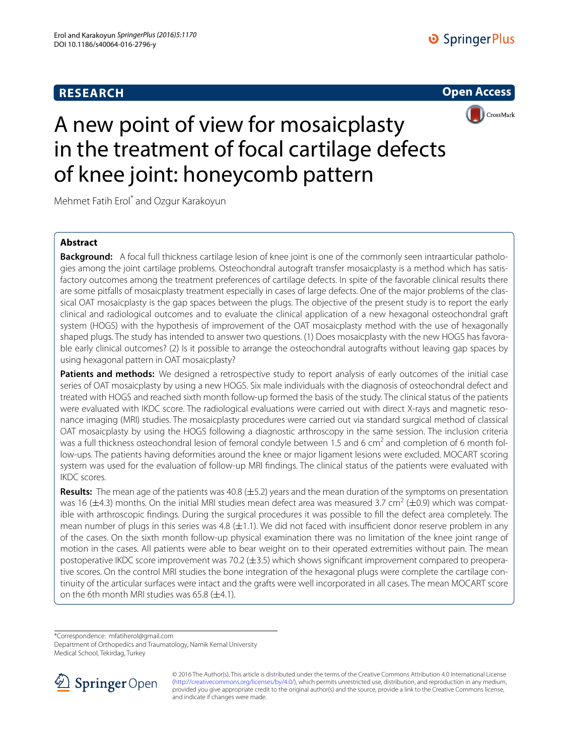# **RESEARCH**





# A new point of view for mosaicplasty in the treatment of focal cartilage defects of knee joint: honeycomb pattern

Mehmet Fatih Erol\* and Ozgur Karakoyun

## **Abstract**

**Background:** A focal full thickness cartilage lesion of knee joint is one of the commonly seen intraarticular pathologies among the joint cartilage problems. Osteochondral autograft transfer mosaicplasty is a method which has satisfactory outcomes among the treatment preferences of cartilage defects. In spite of the favorable clinical results there are some pitfalls of mosaicplasty treatment especially in cases of large defects. One of the major problems of the classical OAT mosaicplasty is the gap spaces between the plugs. The objective of the present study is to report the early clinical and radiological outcomes and to evaluate the clinical application of a new hexagonal osteochondral graft system (HOGS) with the hypothesis of improvement of the OAT mosaicplasty method with the use of hexagonally shaped plugs. The study has intended to answer two questions. (1) Does mosaicplasty with the new HOGS has favorable early clinical outcomes? (2) Is it possible to arrange the osteochondral autografts without leaving gap spaces by using hexagonal pattern in OAT mosaicplasty?

**Patients and methods:** We designed a retrospective study to report analysis of early outcomes of the initial case series of OAT mosaicplasty by using a new HOGS. Six male individuals with the diagnosis of osteochondral defect and treated with HOGS and reached sixth month follow-up formed the basis of the study. The clinical status of the patients were evaluated with IKDC score. The radiological evaluations were carried out with direct X-rays and magnetic resonance imaging (MRI) studies. The mosaicplasty procedures were carried out via standard surgical method of classical OAT mosaicplasty by using the HOGS following a diagnostic arthroscopy in the same session. The inclusion criteria was a full thickness osteochondral lesion of femoral condyle between 1.5 and 6 cm<sup>2</sup> and completion of 6 month follow-ups. The patients having deformities around the knee or major ligament lesions were excluded. MOCART scoring system was used for the evaluation of follow-up MRI findings. The clinical status of the patients were evaluated with IKDC scores.

**Results:** The mean age of the patients was 40.8 (±5.2) years and the mean duration of the symptoms on presentation was 16 ( $\pm$ 4.3) months. On the initial MRI studies mean defect area was measured 3.7 cm<sup>2</sup> ( $\pm$ 0.9) which was compatible with arthroscopic findings. During the surgical procedures it was possible to fill the defect area completely. The mean number of plugs in this series was 4.8  $(\pm 1.1)$ . We did not faced with insufficient donor reserve problem in any of the cases. On the sixth month follow-up physical examination there was no limitation of the knee joint range of motion in the cases. All patients were able to bear weight on to their operated extremities without pain. The mean postoperative IKDC score improvement was 70.2  $(\pm 3.5)$  which shows significant improvement compared to preoperative scores. On the control MRI studies the bone integration of the hexagonal plugs were complete the cartilage continuity of the articular surfaces were intact and the grafts were well incorporated in all cases. The mean MOCART score on the 6th month MRI studies was 65.8  $(\pm 4.1)$ .

\*Correspondence: mfatiherol@gmail.com

Department of Orthopedics and Traumatology, Namik Kemal University Medical School, Tekirdag, Turkey



© 2016 The Author(s). This article is distributed under the terms of the Creative Commons Attribution 4.0 International License [\(http://creativecommons.org/licenses/by/4.0/\)](http://creativecommons.org/licenses/by/4.0/), which permits unrestricted use, distribution, and reproduction in any medium, provided you give appropriate credit to the original author(s) and the source, provide a link to the Creative Commons license, and indicate if changes were made.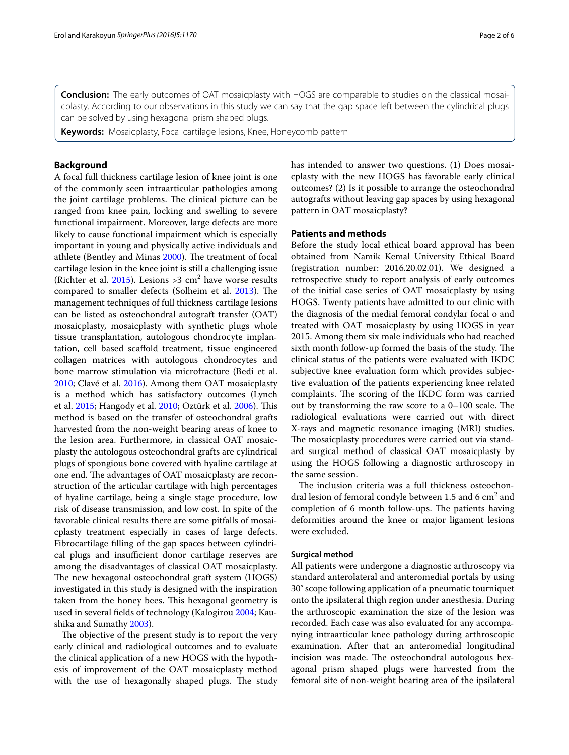**Conclusion:** The early outcomes of OAT mosaicplasty with HOGS are comparable to studies on the classical mosaicplasty. According to our observations in this study we can say that the gap space left between the cylindrical plugs can be solved by using hexagonal prism shaped plugs.

**Keywords:** Mosaicplasty, Focal cartilage lesions, Knee, Honeycomb pattern

#### **Background**

A focal full thickness cartilage lesion of knee joint is one of the commonly seen intraarticular pathologies among the joint cartilage problems. The clinical picture can be ranged from knee pain, locking and swelling to severe functional impairment. Moreover, large defects are more likely to cause functional impairment which is especially important in young and physically active individuals and athlete (Bentley and Minas [2000](#page-5-0)). The treatment of focal cartilage lesion in the knee joint is still a challenging issue (Richter et al.  $2015$ ). Lesions >3 cm<sup>2</sup> have worse results compared to smaller defects (Solheim et al. [2013\)](#page-5-2). The management techniques of full thickness cartilage lesions can be listed as osteochondral autograft transfer (OAT) mosaicplasty, mosaicplasty with synthetic plugs whole tissue transplantation, autologous chondrocyte implantation, cell based scaffold treatment, tissue engineered collagen matrices with autologous chondrocytes and bone marrow stimulation via microfracture (Bedi et al. [2010](#page-5-3); Clavé et al. [2016](#page-5-4)). Among them OAT mosaicplasty is a method which has satisfactory outcomes (Lynch et al. [2015;](#page-5-5) Hangody et al. [2010;](#page-5-6) Oztürk et al. [2006\)](#page-5-7). This method is based on the transfer of osteochondral grafts harvested from the non-weight bearing areas of knee to the lesion area. Furthermore, in classical OAT mosaicplasty the autologous osteochondral grafts are cylindrical plugs of spongious bone covered with hyaline cartilage at one end. The advantages of OAT mosaicplasty are reconstruction of the articular cartilage with high percentages of hyaline cartilage, being a single stage procedure, low risk of disease transmission, and low cost. In spite of the favorable clinical results there are some pitfalls of mosaicplasty treatment especially in cases of large defects. Fibrocartilage filling of the gap spaces between cylindrical plugs and insufficient donor cartilage reserves are among the disadvantages of classical OAT mosaicplasty. The new hexagonal osteochondral graft system (HOGS) investigated in this study is designed with the inspiration taken from the honey bees. This hexagonal geometry is used in several fields of technology (Kalogirou [2004](#page-5-8); Kaushika and Sumathy [2003\)](#page-5-9).

The objective of the present study is to report the very early clinical and radiological outcomes and to evaluate the clinical application of a new HOGS with the hypothesis of improvement of the OAT mosaicplasty method with the use of hexagonally shaped plugs. The study has intended to answer two questions. (1) Does mosaicplasty with the new HOGS has favorable early clinical outcomes? (2) Is it possible to arrange the osteochondral autografts without leaving gap spaces by using hexagonal pattern in OAT mosaicplasty?

## **Patients and methods**

Before the study local ethical board approval has been obtained from Namik Kemal University Ethical Board (registration number: 2016.20.02.01). We designed a retrospective study to report analysis of early outcomes of the initial case series of OAT mosaicplasty by using HOGS. Twenty patients have admitted to our clinic with the diagnosis of the medial femoral condylar focal o and treated with OAT mosaicplasty by using HOGS in year 2015. Among them six male individuals who had reached sixth month follow-up formed the basis of the study. The clinical status of the patients were evaluated with IKDC subjective knee evaluation form which provides subjective evaluation of the patients experiencing knee related complaints. The scoring of the IKDC form was carried out by transforming the raw score to a 0–100 scale. The radiological evaluations were carried out with direct X-rays and magnetic resonance imaging (MRI) studies. The mosaicplasty procedures were carried out via standard surgical method of classical OAT mosaicplasty by using the HOGS following a diagnostic arthroscopy in the same session.

The inclusion criteria was a full thickness osteochondral lesion of femoral condyle between 1.5 and 6  $\text{cm}^2$  and completion of 6 month follow-ups. The patients having deformities around the knee or major ligament lesions were excluded.

#### **Surgical method**

All patients were undergone a diagnostic arthroscopy via standard anterolateral and anteromedial portals by using 30° scope following application of a pneumatic tourniquet onto the ipsilateral thigh region under anesthesia. During the arthroscopic examination the size of the lesion was recorded. Each case was also evaluated for any accompanying intraarticular knee pathology during arthroscopic examination. After that an anteromedial longitudinal incision was made. The osteochondral autologous hexagonal prism shaped plugs were harvested from the femoral site of non-weight bearing area of the ipsilateral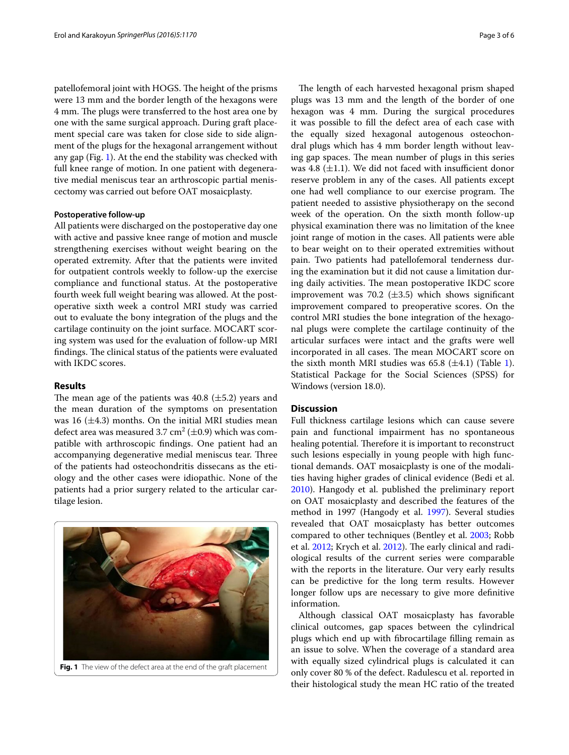patellofemoral joint with HOGS. The height of the prisms were 13 mm and the border length of the hexagons were 4 mm. The plugs were transferred to the host area one by one with the same surgical approach. During graft placement special care was taken for close side to side alignment of the plugs for the hexagonal arrangement without any gap (Fig. [1](#page-2-0)). At the end the stability was checked with full knee range of motion. In one patient with degenerative medial meniscus tear an arthroscopic partial meniscectomy was carried out before OAT mosaicplasty.

#### **Postoperative follow‑up**

All patients were discharged on the postoperative day one with active and passive knee range of motion and muscle strengthening exercises without weight bearing on the operated extremity. After that the patients were invited for outpatient controls weekly to follow-up the exercise compliance and functional status. At the postoperative fourth week full weight bearing was allowed. At the postoperative sixth week a control MRI study was carried out to evaluate the bony integration of the plugs and the cartilage continuity on the joint surface. MOCART scoring system was used for the evaluation of follow-up MRI findings. The clinical status of the patients were evaluated with IKDC scores.

## **Results**

The mean age of the patients was  $40.8 \ (\pm 5.2)$  years and the mean duration of the symptoms on presentation was 16  $(\pm 4.3)$  months. On the initial MRI studies mean defect area was measured 3.7 cm<sup>2</sup> ( $\pm$ 0.9) which was compatible with arthroscopic findings. One patient had an accompanying degenerative medial meniscus tear. Three of the patients had osteochondritis dissecans as the etiology and the other cases were idiopathic. None of the patients had a prior surgery related to the articular cartilage lesion.

<span id="page-2-0"></span>

The length of each harvested hexagonal prism shaped plugs was 13 mm and the length of the border of one hexagon was 4 mm. During the surgical procedures it was possible to fill the defect area of each case with the equally sized hexagonal autogenous osteochondral plugs which has 4 mm border length without leaving gap spaces. The mean number of plugs in this series was 4.8  $(\pm 1.1)$ . We did not faced with insufficient donor reserve problem in any of the cases. All patients except one had well compliance to our exercise program. The patient needed to assistive physiotherapy on the second week of the operation. On the sixth month follow-up physical examination there was no limitation of the knee joint range of motion in the cases. All patients were able to bear weight on to their operated extremities without pain. Two patients had patellofemoral tenderness during the examination but it did not cause a limitation during daily activities. The mean postoperative IKDC score improvement was 70.2  $(\pm 3.5)$  which shows significant improvement compared to preoperative scores. On the control MRI studies the bone integration of the hexagonal plugs were complete the cartilage continuity of the articular surfaces were intact and the grafts were well incorporated in all cases. The mean MOCART score on the sixth month MRI studies was  $65.8$  ( $\pm$ 4.[1](#page-3-0)) (Table 1). Statistical Package for the Social Sciences (SPSS) for Windows (version 18.0).

## **Discussion**

Full thickness cartilage lesions which can cause severe pain and functional impairment has no spontaneous healing potential. Therefore it is important to reconstruct such lesions especially in young people with high functional demands. OAT mosaicplasty is one of the modalities having higher grades of clinical evidence (Bedi et al. [2010](#page-5-3)). Hangody et al. published the preliminary report on OAT mosaicplasty and described the features of the method in 1997 (Hangody et al. [1997\)](#page-5-10). Several studies revealed that OAT mosaicplasty has better outcomes compared to other techniques (Bentley et al. [2003;](#page-5-11) Robb et al. [2012;](#page-5-12) Krych et al. [2012\)](#page-5-13). The early clinical and radiological results of the current series were comparable with the reports in the literature. Our very early results can be predictive for the long term results. However longer follow ups are necessary to give more definitive information.

Although classical OAT mosaicplasty has favorable clinical outcomes, gap spaces between the cylindrical plugs which end up with fibrocartilage filling remain as an issue to solve. When the coverage of a standard area with equally sized cylindrical plugs is calculated it can only cover 80 % of the defect. Radulescu et al. reported in their histological study the mean HC ratio of the treated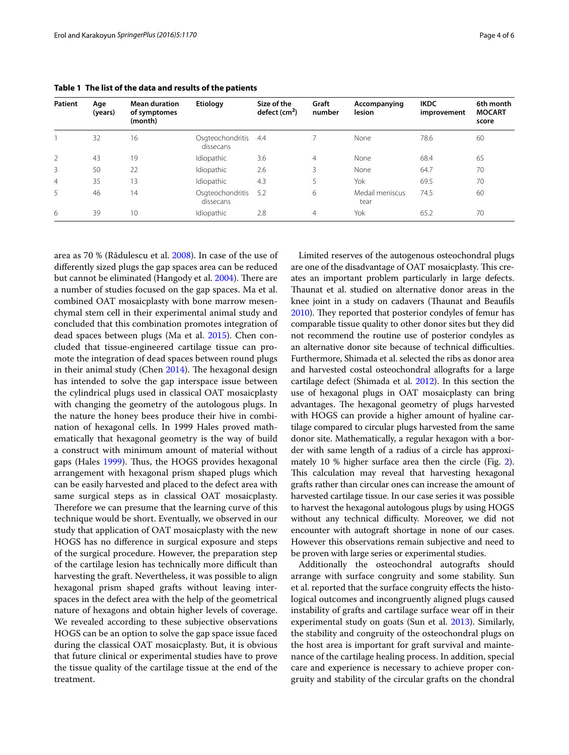| Patient        | Age<br>(years) | <b>Mean duration</b><br>of symptomes<br>(month) | Etiology                      | Size of the<br>$defect$ (cm <sup>2</sup> ) | Graft<br>number | Accompanying<br>lesion  | <b>IKDC</b><br>improvement | 6th month<br><b>MOCART</b><br>score |
|----------------|----------------|-------------------------------------------------|-------------------------------|--------------------------------------------|-----------------|-------------------------|----------------------------|-------------------------------------|
|                | 32             | 16                                              | Osgteochondritis<br>dissecans | 4.4                                        |                 | None                    | 78.6                       | 60                                  |
| 2              | 43             | 19                                              | Idiopathic                    | 3.6                                        | 4               | None                    | 68.4                       | 65                                  |
| 3              | 50             | 22                                              | Idiopathic                    | 2.6                                        | 3               | None                    | 64.7                       | 70                                  |
| $\overline{4}$ | 35             | 13                                              | Idiopathic                    | 4.3                                        | 5               | Yok                     | 69.5                       | 70                                  |
| 5              | 46             | 14                                              | Osgteochondritis<br>dissecans | 5.2                                        | 6               | Medail meniscus<br>tear | 74.5                       | 60                                  |
| 6              | 39             | 10                                              | Idiopathic                    | 2.8                                        | 4               | Yok                     | 65.2                       | 70                                  |

<span id="page-3-0"></span>**Table 1 The list of the data and results of the patients**

area as 70 % (Rădulescu et al. [2008\)](#page-5-14). In case of the use of differently sized plugs the gap spaces area can be reduced but cannot be eliminated (Hangody et al. [2004](#page-5-15)). There are a number of studies focused on the gap spaces. Ma et al. combined OAT mosaicplasty with bone marrow mesenchymal stem cell in their experimental animal study and concluded that this combination promotes integration of dead spaces between plugs (Ma et al. [2015](#page-5-16)). Chen concluded that tissue-engineered cartilage tissue can promote the integration of dead spaces between round plugs in their animal study (Chen [2014](#page-5-17)). The hexagonal design has intended to solve the gap interspace issue between the cylindrical plugs used in classical OAT mosaicplasty with changing the geometry of the autologous plugs. In the nature the honey bees produce their hive in combination of hexagonal cells. In 1999 Hales proved mathematically that hexagonal geometry is the way of build a construct with minimum amount of material without gaps (Hales [1999\)](#page-5-18). Thus, the HOGS provides hexagonal arrangement with hexagonal prism shaped plugs which can be easily harvested and placed to the defect area with same surgical steps as in classical OAT mosaicplasty. Therefore we can presume that the learning curve of this technique would be short. Eventually, we observed in our study that application of OAT mosaicplasty with the new HOGS has no difference in surgical exposure and steps of the surgical procedure. However, the preparation step of the cartilage lesion has technically more difficult than harvesting the graft. Nevertheless, it was possible to align hexagonal prism shaped grafts without leaving interspaces in the defect area with the help of the geometrical nature of hexagons and obtain higher levels of coverage. We revealed according to these subjective observations HOGS can be an option to solve the gap space issue faced during the classical OAT mosaicplasty. But, it is obvious that future clinical or experimental studies have to prove the tissue quality of the cartilage tissue at the end of the treatment.

Limited reserves of the autogenous osteochondral plugs are one of the disadvantage of OAT mosaicplasty. This creates an important problem particularly in large defects. Thaunat et al. studied on alternative donor areas in the knee joint in a study on cadavers (Thaunat and Beaufils [2010](#page-5-19)). They reported that posterior condyles of femur has comparable tissue quality to other donor sites but they did not recommend the routine use of posterior condyles as an alternative donor site because of technical difficulties. Furthermore, Shimada et al. selected the ribs as donor area and harvested costal osteochondral allografts for a large cartilage defect (Shimada et al. [2012](#page-5-20)). In this section the use of hexagonal plugs in OAT mosaicplasty can bring advantages. The hexagonal geometry of plugs harvested with HOGS can provide a higher amount of hyaline cartilage compared to circular plugs harvested from the same donor site. Mathematically, a regular hexagon with a border with same length of a radius of a circle has approxi-mately 10 % higher surface area then the circle (Fig. [2](#page-4-0)). This calculation may reveal that harvesting hexagonal grafts rather than circular ones can increase the amount of harvested cartilage tissue. In our case series it was possible to harvest the hexagonal autologous plugs by using HOGS without any technical difficulty. Moreover, we did not encounter with autograft shortage in none of our cases. However this observations remain subjective and need to be proven with large series or experimental studies.

Additionally the osteochondral autografts should arrange with surface congruity and some stability. Sun et al. reported that the surface congruity effects the histological outcomes and incongruently aligned plugs caused instability of grafts and cartilage surface wear off in their experimental study on goats (Sun et al. [2013\)](#page-5-21). Similarly, the stability and congruity of the osteochondral plugs on the host area is important for graft survival and maintenance of the cartilage healing process. In addition, special care and experience is necessary to achieve proper congruity and stability of the circular grafts on the chondral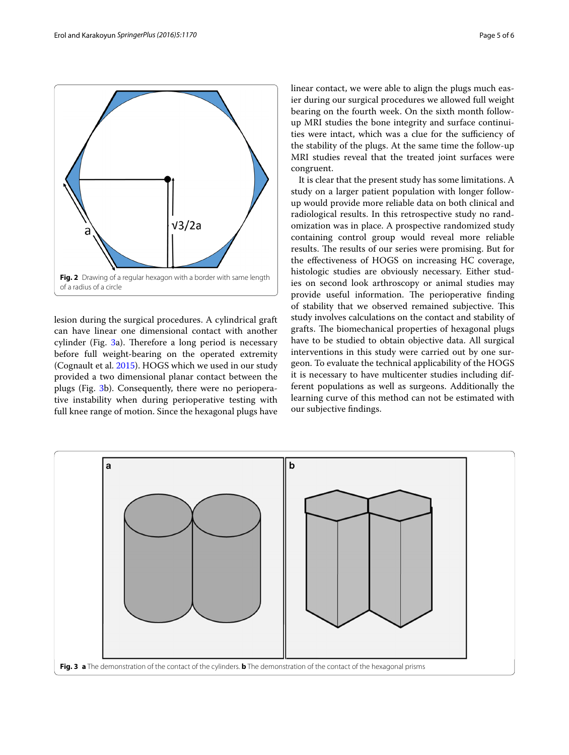

<span id="page-4-0"></span>lesion during the surgical procedures. A cylindrical graft can have linear one dimensional contact with another cylinder (Fig. [3](#page-4-1)a). Therefore a long period is necessary before full weight-bearing on the operated extremity (Cognault et al. [2015](#page-5-22)). HOGS which we used in our study provided a two dimensional planar contact between the plugs (Fig. [3b](#page-4-1)). Consequently, there were no perioperative instability when during perioperative testing with full knee range of motion. Since the hexagonal plugs have linear contact, we were able to align the plugs much easier during our surgical procedures we allowed full weight bearing on the fourth week. On the sixth month followup MRI studies the bone integrity and surface continuities were intact, which was a clue for the sufficiency of the stability of the plugs. At the same time the follow-up MRI studies reveal that the treated joint surfaces were congruent.

It is clear that the present study has some limitations. A study on a larger patient population with longer followup would provide more reliable data on both clinical and radiological results. In this retrospective study no randomization was in place. A prospective randomized study containing control group would reveal more reliable results. The results of our series were promising. But for the effectiveness of HOGS on increasing HC coverage, histologic studies are obviously necessary. Either studies on second look arthroscopy or animal studies may provide useful information. The perioperative finding of stability that we observed remained subjective. This study involves calculations on the contact and stability of grafts. The biomechanical properties of hexagonal plugs have to be studied to obtain objective data. All surgical interventions in this study were carried out by one surgeon. To evaluate the technical applicability of the HOGS it is necessary to have multicenter studies including different populations as well as surgeons. Additionally the learning curve of this method can not be estimated with our subjective findings.

<span id="page-4-1"></span>